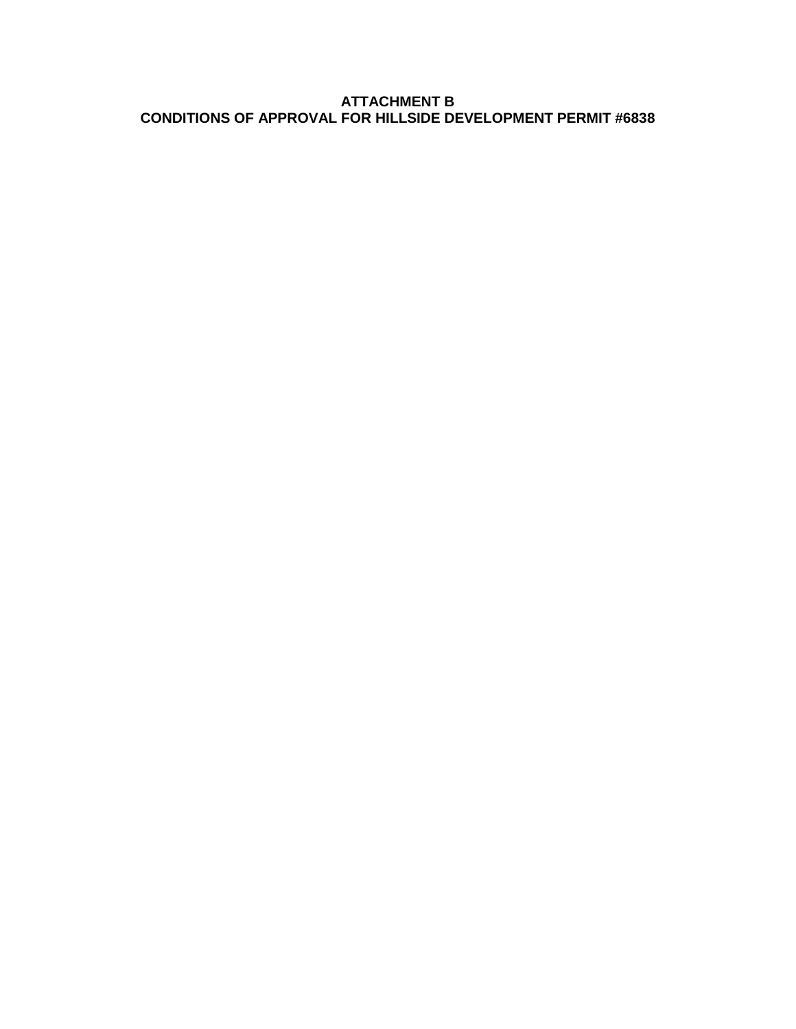#### **ATTACHMENT B CONDITIONS OF APPROVAL FOR HILLSIDE DEVELOPMENT PERMIT #6838**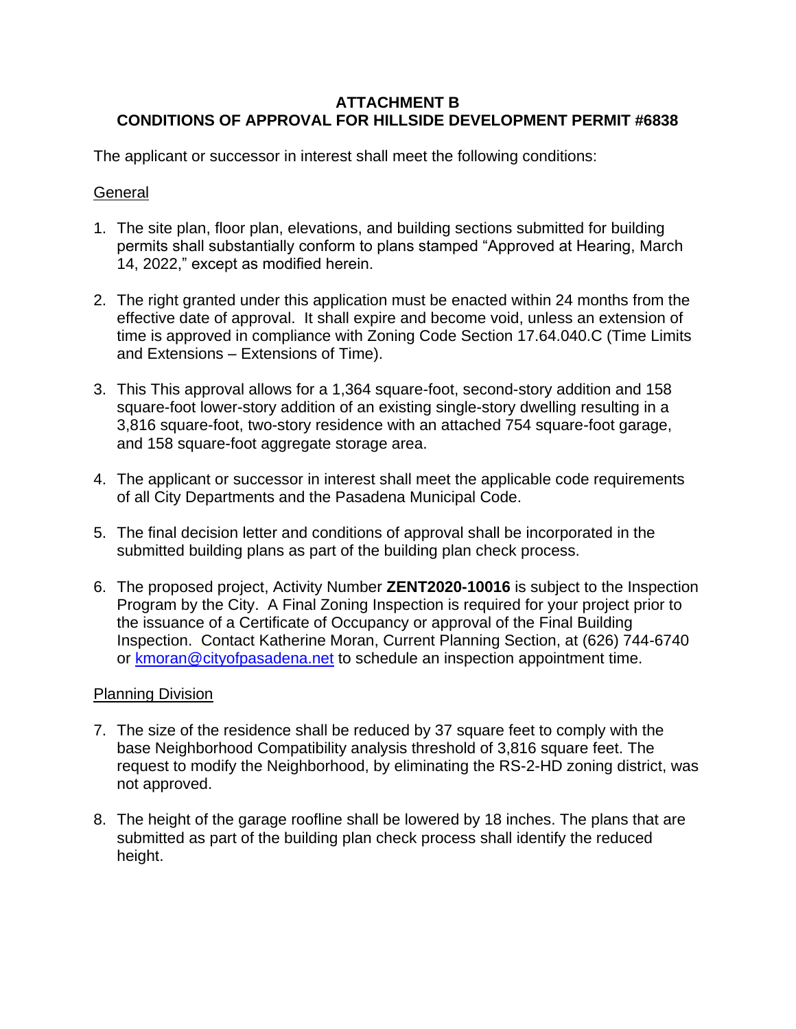### **ATTACHMENT B CONDITIONS OF APPROVAL FOR HILLSIDE DEVELOPMENT PERMIT #6838**

The applicant or successor in interest shall meet the following conditions:

# **General**

- 1. The site plan, floor plan, elevations, and building sections submitted for building permits shall substantially conform to plans stamped "Approved at Hearing, March 14, 2022," except as modified herein.
- 2. The right granted under this application must be enacted within 24 months from the effective date of approval. It shall expire and become void, unless an extension of time is approved in compliance with Zoning Code Section 17.64.040.C (Time Limits and Extensions – Extensions of Time).
- 3. This This approval allows for a 1,364 square-foot, second-story addition and 158 square-foot lower-story addition of an existing single-story dwelling resulting in a 3,816 square-foot, two-story residence with an attached 754 square-foot garage, and 158 square-foot aggregate storage area.
- 4. The applicant or successor in interest shall meet the applicable code requirements of all City Departments and the Pasadena Municipal Code.
- 5. The final decision letter and conditions of approval shall be incorporated in the submitted building plans as part of the building plan check process.
- 6. The proposed project, Activity Number **ZENT2020-10016** is subject to the Inspection Program by the City. A Final Zoning Inspection is required for your project prior to the issuance of a Certificate of Occupancy or approval of the Final Building Inspection. Contact Katherine Moran, Current Planning Section, at (626) 744-6740 or [kmoran@cityofpasadena.net](mailto:kmoran@cityofpasadena.net) to schedule an inspection appointment time.

### Planning Division

- 7. The size of the residence shall be reduced by 37 square feet to comply with the base Neighborhood Compatibility analysis threshold of 3,816 square feet. The request to modify the Neighborhood, by eliminating the RS-2-HD zoning district, was not approved.
- 8. The height of the garage roofline shall be lowered by 18 inches. The plans that are submitted as part of the building plan check process shall identify the reduced height.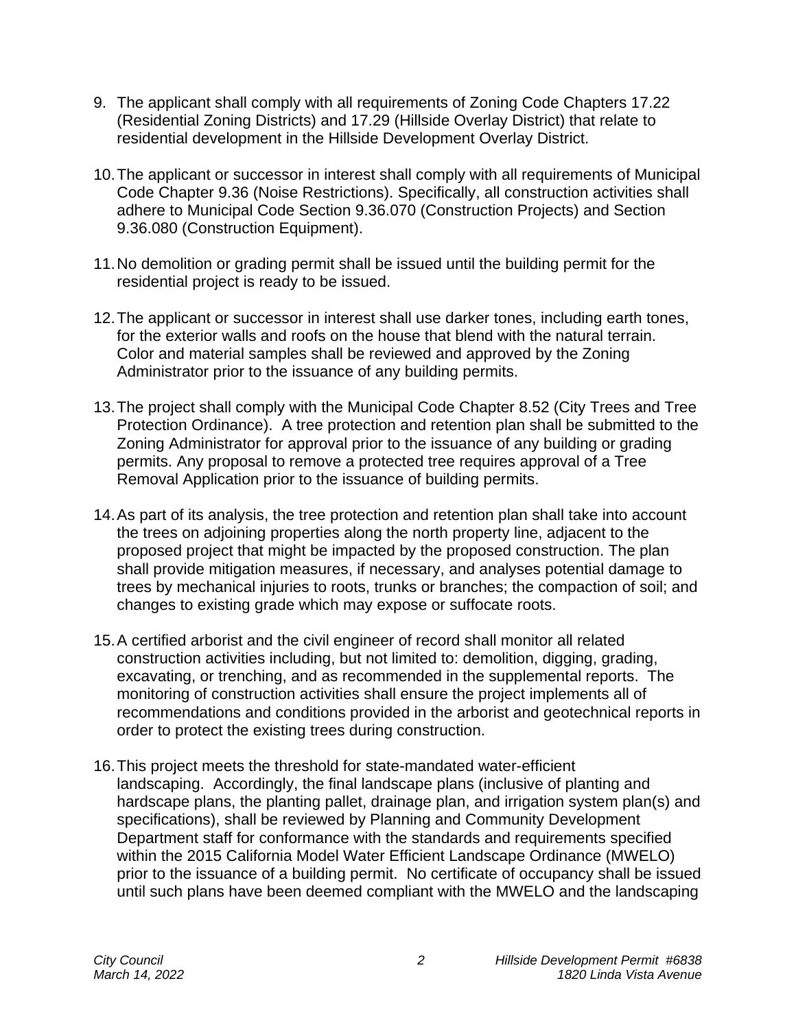- 9. The applicant shall comply with all requirements of Zoning Code Chapters 17.22 (Residential Zoning Districts) and 17.29 (Hillside Overlay District) that relate to residential development in the Hillside Development Overlay District.
- 10.The applicant or successor in interest shall comply with all requirements of Municipal Code Chapter 9.36 (Noise Restrictions). Specifically, all construction activities shall adhere to Municipal Code Section 9.36.070 (Construction Projects) and Section 9.36.080 (Construction Equipment).
- 11.No demolition or grading permit shall be issued until the building permit for the residential project is ready to be issued.
- 12.The applicant or successor in interest shall use darker tones, including earth tones, for the exterior walls and roofs on the house that blend with the natural terrain. Color and material samples shall be reviewed and approved by the Zoning Administrator prior to the issuance of any building permits.
- 13.The project shall comply with the Municipal Code Chapter 8.52 (City Trees and Tree Protection Ordinance). A tree protection and retention plan shall be submitted to the Zoning Administrator for approval prior to the issuance of any building or grading permits. Any proposal to remove a protected tree requires approval of a Tree Removal Application prior to the issuance of building permits.
- 14.As part of its analysis, the tree protection and retention plan shall take into account the trees on adjoining properties along the north property line, adjacent to the proposed project that might be impacted by the proposed construction. The plan shall provide mitigation measures, if necessary, and analyses potential damage to trees by mechanical injuries to roots, trunks or branches; the compaction of soil; and changes to existing grade which may expose or suffocate roots.
- 15.A certified arborist and the civil engineer of record shall monitor all related construction activities including, but not limited to: demolition, digging, grading, excavating, or trenching, and as recommended in the supplemental reports. The monitoring of construction activities shall ensure the project implements all of recommendations and conditions provided in the arborist and geotechnical reports in order to protect the existing trees during construction.
- 16.This project meets the threshold for state-mandated water-efficient landscaping. Accordingly, the final landscape plans (inclusive of planting and hardscape plans, the planting pallet, drainage plan, and irrigation system plan(s) and specifications), shall be reviewed by Planning and Community Development Department staff for conformance with the standards and requirements specified within the 2015 California Model Water Efficient Landscape Ordinance (MWELO) prior to the issuance of a building permit. No certificate of occupancy shall be issued until such plans have been deemed compliant with the MWELO and the landscaping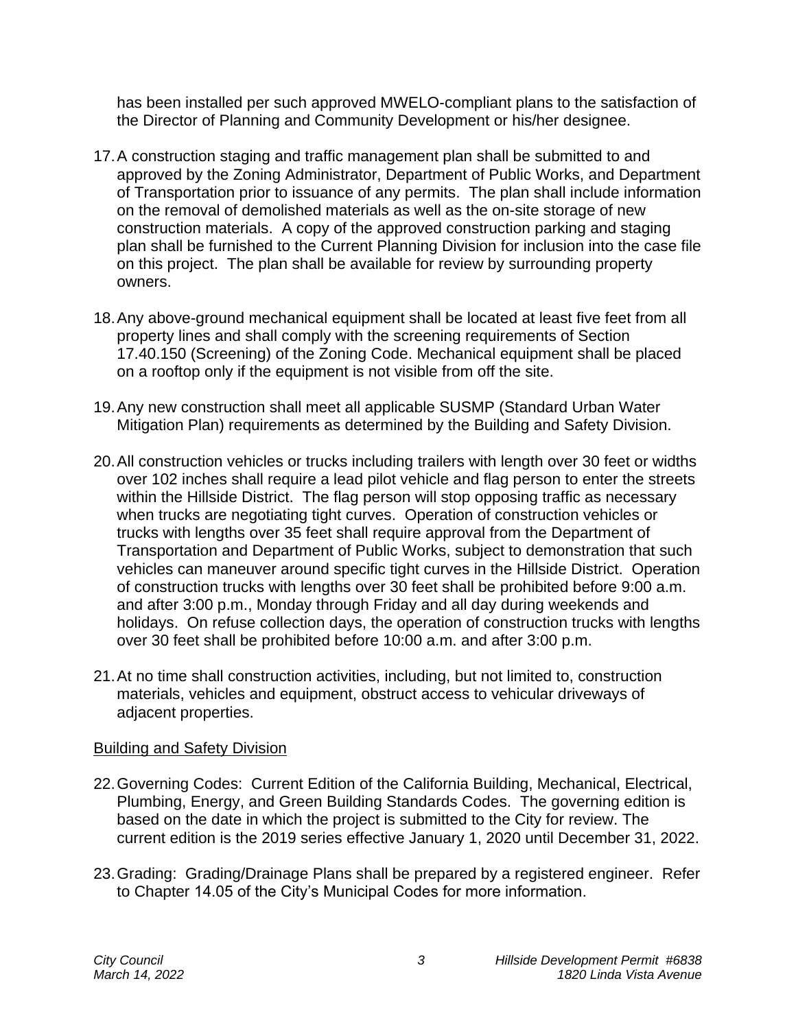has been installed per such approved MWELO-compliant plans to the satisfaction of the Director of Planning and Community Development or his/her designee.

- 17.A construction staging and traffic management plan shall be submitted to and approved by the Zoning Administrator, Department of Public Works, and Department of Transportation prior to issuance of any permits. The plan shall include information on the removal of demolished materials as well as the on-site storage of new construction materials. A copy of the approved construction parking and staging plan shall be furnished to the Current Planning Division for inclusion into the case file on this project. The plan shall be available for review by surrounding property owners.
- 18.Any above-ground mechanical equipment shall be located at least five feet from all property lines and shall comply with the screening requirements of Section 17.40.150 (Screening) of the Zoning Code. Mechanical equipment shall be placed on a rooftop only if the equipment is not visible from off the site.
- 19.Any new construction shall meet all applicable SUSMP (Standard Urban Water Mitigation Plan) requirements as determined by the Building and Safety Division.
- 20.All construction vehicles or trucks including trailers with length over 30 feet or widths over 102 inches shall require a lead pilot vehicle and flag person to enter the streets within the Hillside District. The flag person will stop opposing traffic as necessary when trucks are negotiating tight curves. Operation of construction vehicles or trucks with lengths over 35 feet shall require approval from the Department of Transportation and Department of Public Works, subject to demonstration that such vehicles can maneuver around specific tight curves in the Hillside District. Operation of construction trucks with lengths over 30 feet shall be prohibited before 9:00 a.m. and after 3:00 p.m., Monday through Friday and all day during weekends and holidays. On refuse collection days, the operation of construction trucks with lengths over 30 feet shall be prohibited before 10:00 a.m. and after 3:00 p.m.
- 21.At no time shall construction activities, including, but not limited to, construction materials, vehicles and equipment, obstruct access to vehicular driveways of adjacent properties.

# Building and Safety Division

- 22.Governing Codes: Current Edition of the California Building, Mechanical, Electrical, Plumbing, Energy, and Green Building Standards Codes. The governing edition is based on the date in which the project is submitted to the City for review. The current edition is the 2019 series effective January 1, 2020 until December 31, 2022.
- 23.Grading: Grading/Drainage Plans shall be prepared by a registered engineer. Refer to Chapter 14.05 of the City's Municipal Codes for more information.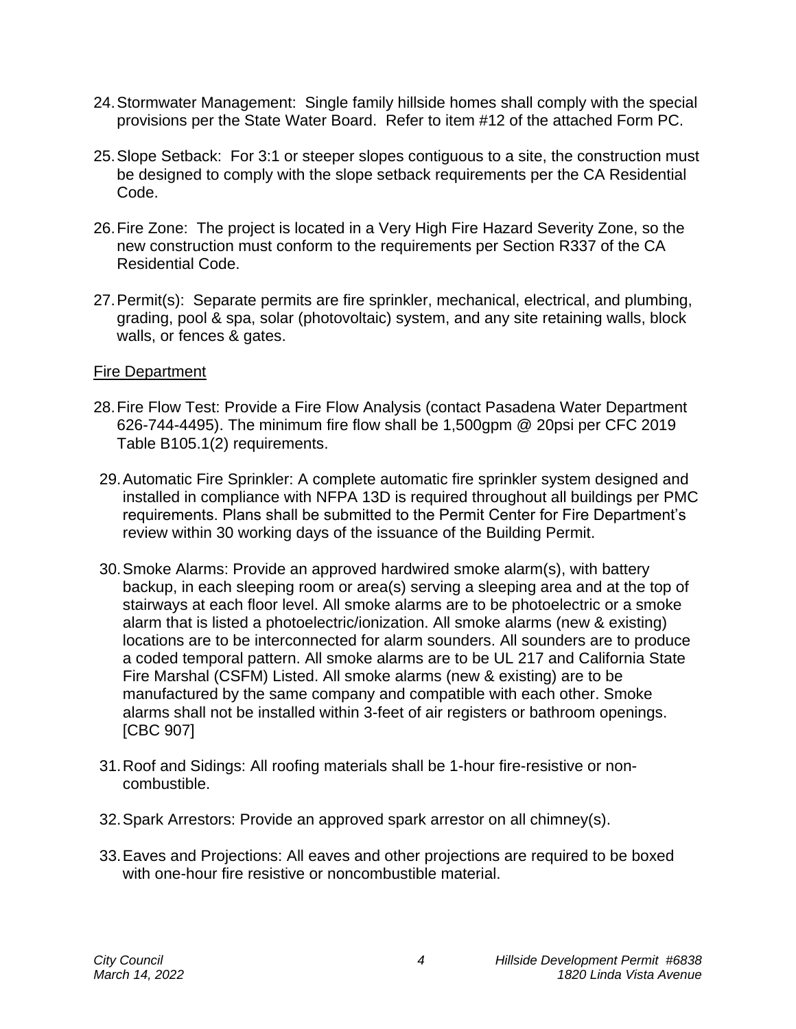- 24.Stormwater Management: Single family hillside homes shall comply with the special provisions per the State Water Board. Refer to item #12 of the attached Form PC.
- 25.Slope Setback: For 3:1 or steeper slopes contiguous to a site, the construction must be designed to comply with the slope setback requirements per the CA Residential Code.
- 26.Fire Zone: The project is located in a Very High Fire Hazard Severity Zone, so the new construction must conform to the requirements per Section R337 of the CA Residential Code.
- 27.Permit(s): Separate permits are fire sprinkler, mechanical, electrical, and plumbing, grading, pool & spa, solar (photovoltaic) system, and any site retaining walls, block walls, or fences & gates.

### Fire Department

- 28.Fire Flow Test: Provide a Fire Flow Analysis (contact Pasadena Water Department 626-744-4495). The minimum fire flow shall be 1,500gpm @ 20psi per CFC 2019 Table B105.1(2) requirements.
- 29.Automatic Fire Sprinkler: A complete automatic fire sprinkler system designed and installed in compliance with NFPA 13D is required throughout all buildings per PMC requirements. Plans shall be submitted to the Permit Center for Fire Department's review within 30 working days of the issuance of the Building Permit.
- 30.Smoke Alarms: Provide an approved hardwired smoke alarm(s), with battery backup, in each sleeping room or area(s) serving a sleeping area and at the top of stairways at each floor level. All smoke alarms are to be photoelectric or a smoke alarm that is listed a photoelectric/ionization. All smoke alarms (new & existing) locations are to be interconnected for alarm sounders. All sounders are to produce a coded temporal pattern. All smoke alarms are to be UL 217 and California State Fire Marshal (CSFM) Listed. All smoke alarms (new & existing) are to be manufactured by the same company and compatible with each other. Smoke alarms shall not be installed within 3-feet of air registers or bathroom openings. [CBC 907]
- 31.Roof and Sidings: All roofing materials shall be 1-hour fire-resistive or noncombustible.
- 32.Spark Arrestors: Provide an approved spark arrestor on all chimney(s).
- 33.Eaves and Projections: All eaves and other projections are required to be boxed with one-hour fire resistive or noncombustible material.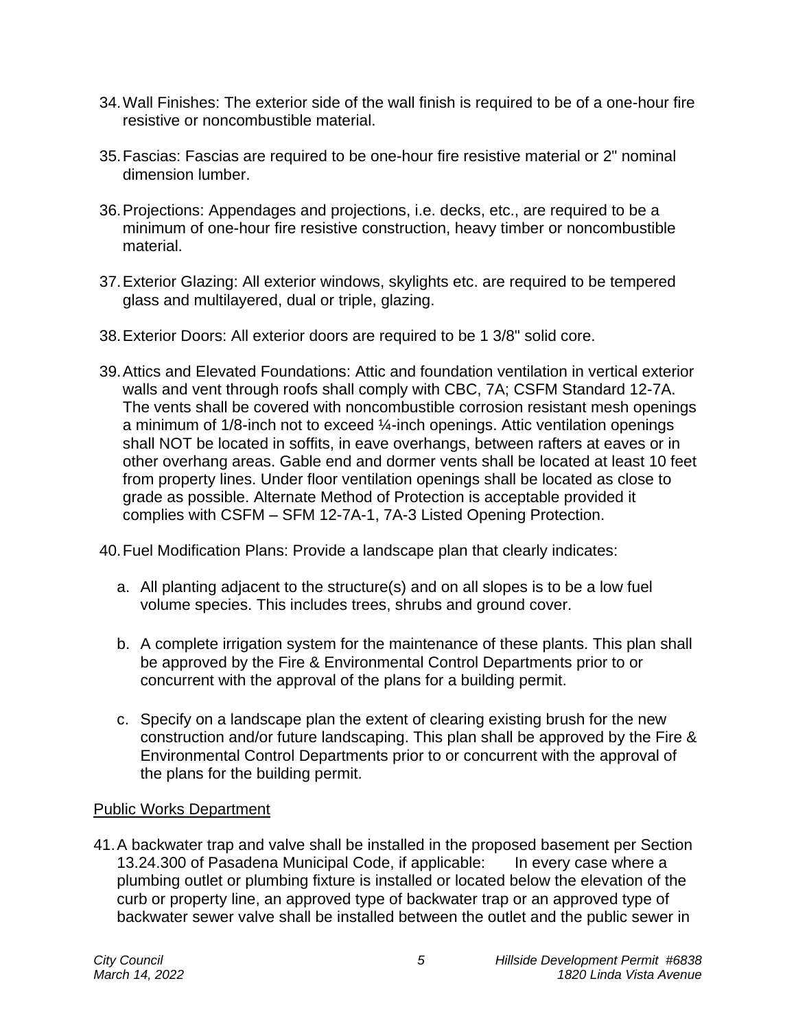- 34.Wall Finishes: The exterior side of the wall finish is required to be of a one-hour fire resistive or noncombustible material.
- 35.Fascias: Fascias are required to be one-hour fire resistive material or 2" nominal dimension lumber.
- 36.Projections: Appendages and projections, i.e. decks, etc., are required to be a minimum of one-hour fire resistive construction, heavy timber or noncombustible material.
- 37.Exterior Glazing: All exterior windows, skylights etc. are required to be tempered glass and multilayered, dual or triple, glazing.
- 38.Exterior Doors: All exterior doors are required to be 1 3/8" solid core.
- 39.Attics and Elevated Foundations: Attic and foundation ventilation in vertical exterior walls and vent through roofs shall comply with CBC, 7A; CSFM Standard 12-7A. The vents shall be covered with noncombustible corrosion resistant mesh openings a minimum of 1/8-inch not to exceed ¼-inch openings. Attic ventilation openings shall NOT be located in soffits, in eave overhangs, between rafters at eaves or in other overhang areas. Gable end and dormer vents shall be located at least 10 feet from property lines. Under floor ventilation openings shall be located as close to grade as possible. Alternate Method of Protection is acceptable provided it complies with CSFM – SFM 12-7A-1, 7A-3 Listed Opening Protection.
- 40.Fuel Modification Plans: Provide a landscape plan that clearly indicates:
	- a. All planting adjacent to the structure(s) and on all slopes is to be a low fuel volume species. This includes trees, shrubs and ground cover.
	- b. A complete irrigation system for the maintenance of these plants. This plan shall be approved by the Fire & Environmental Control Departments prior to or concurrent with the approval of the plans for a building permit.
	- c. Specify on a landscape plan the extent of clearing existing brush for the new construction and/or future landscaping. This plan shall be approved by the Fire & Environmental Control Departments prior to or concurrent with the approval of the plans for the building permit.

# Public Works Department

41.A backwater trap and valve shall be installed in the proposed basement per Section 13.24.300 of Pasadena Municipal Code, if applicable: In every case where a plumbing outlet or plumbing fixture is installed or located below the elevation of the curb or property line, an approved type of backwater trap or an approved type of backwater sewer valve shall be installed between the outlet and the public sewer in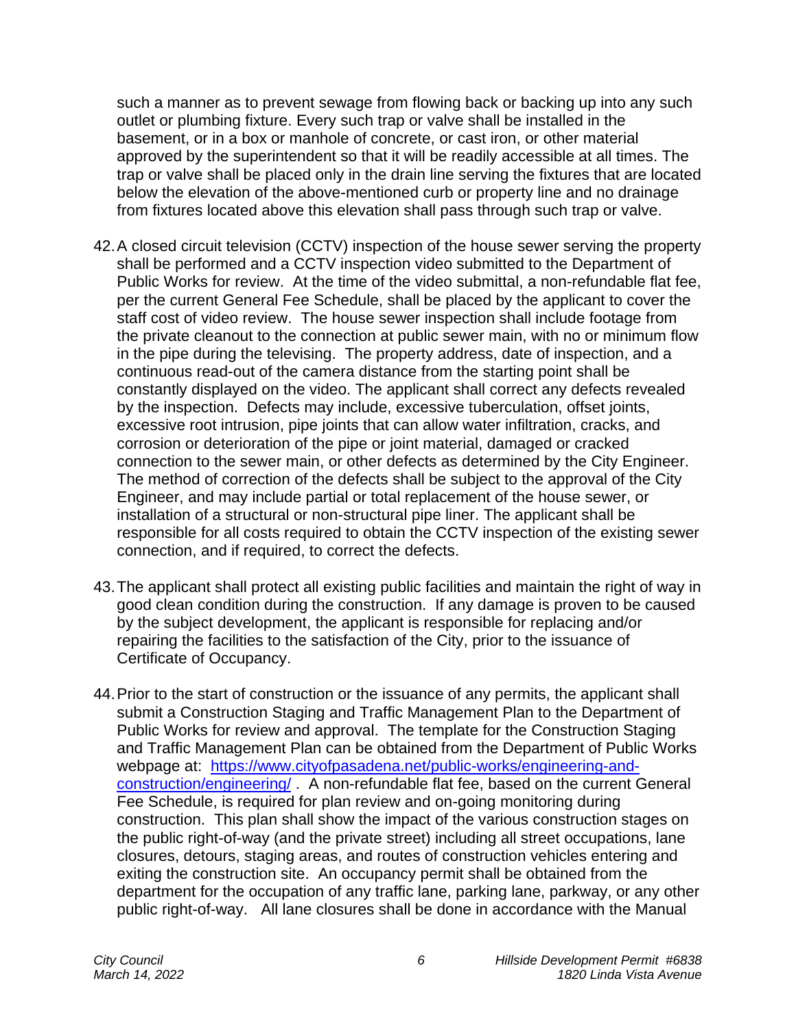such a manner as to prevent sewage from flowing back or backing up into any such outlet or plumbing fixture. Every such trap or valve shall be installed in the basement, or in a box or manhole of concrete, or cast iron, or other material approved by the superintendent so that it will be readily accessible at all times. The trap or valve shall be placed only in the drain line serving the fixtures that are located below the elevation of the above-mentioned curb or property line and no drainage from fixtures located above this elevation shall pass through such trap or valve.

- 42.A closed circuit television (CCTV) inspection of the house sewer serving the property shall be performed and a CCTV inspection video submitted to the Department of Public Works for review. At the time of the video submittal, a non-refundable flat fee, per the current General Fee Schedule, shall be placed by the applicant to cover the staff cost of video review. The house sewer inspection shall include footage from the private cleanout to the connection at public sewer main, with no or minimum flow in the pipe during the televising. The property address, date of inspection, and a continuous read-out of the camera distance from the starting point shall be constantly displayed on the video. The applicant shall correct any defects revealed by the inspection. Defects may include, excessive tuberculation, offset joints, excessive root intrusion, pipe joints that can allow water infiltration, cracks, and corrosion or deterioration of the pipe or joint material, damaged or cracked connection to the sewer main, or other defects as determined by the City Engineer. The method of correction of the defects shall be subject to the approval of the City Engineer, and may include partial or total replacement of the house sewer, or installation of a structural or non-structural pipe liner. The applicant shall be responsible for all costs required to obtain the CCTV inspection of the existing sewer connection, and if required, to correct the defects.
- 43.The applicant shall protect all existing public facilities and maintain the right of way in good clean condition during the construction. If any damage is proven to be caused by the subject development, the applicant is responsible for replacing and/or repairing the facilities to the satisfaction of the City, prior to the issuance of Certificate of Occupancy.
- 44.Prior to the start of construction or the issuance of any permits, the applicant shall submit a Construction Staging and Traffic Management Plan to the Department of Public Works for review and approval. The template for the Construction Staging and Traffic Management Plan can be obtained from the Department of Public Works webpage at: [https://www.cityofpasadena.net/public-works/engineering-and](https://www.cityofpasadena.net/public-works/engineering-and-construction/engineering/)[construction/engineering/](https://www.cityofpasadena.net/public-works/engineering-and-construction/engineering/) . A non-refundable flat fee, based on the current General Fee Schedule, is required for plan review and on-going monitoring during construction. This plan shall show the impact of the various construction stages on the public right-of-way (and the private street) including all street occupations, lane closures, detours, staging areas, and routes of construction vehicles entering and exiting the construction site. An occupancy permit shall be obtained from the department for the occupation of any traffic lane, parking lane, parkway, or any other public right-of-way. All lane closures shall be done in accordance with the Manual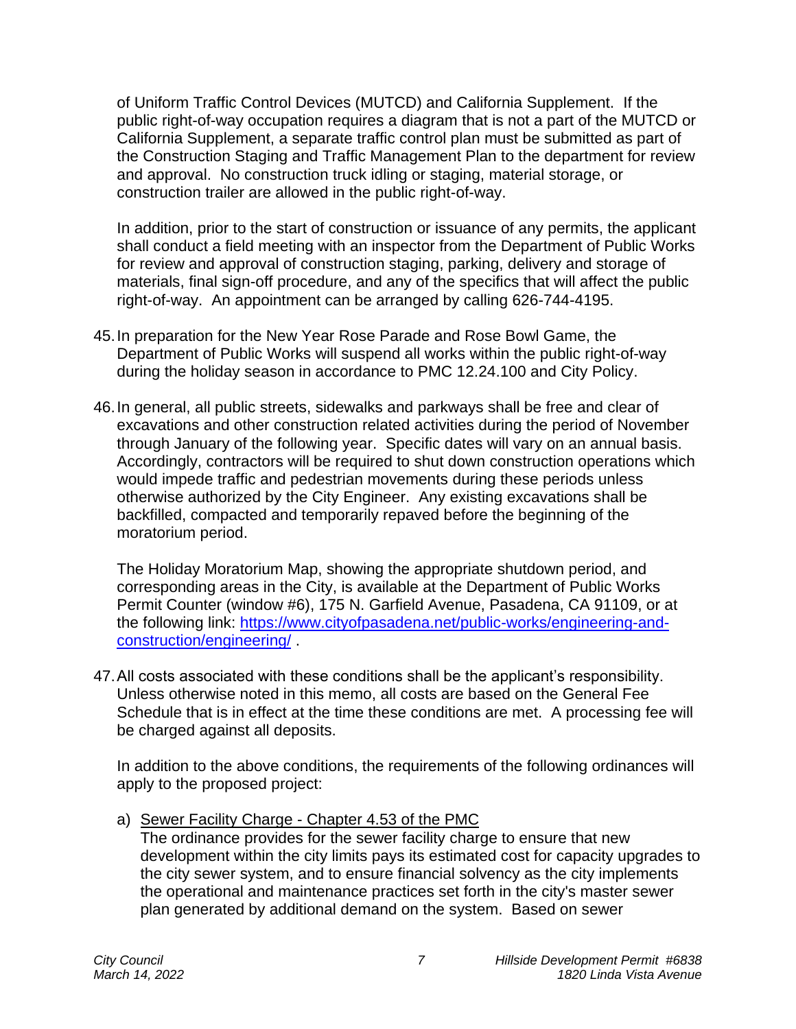of Uniform Traffic Control Devices (MUTCD) and California Supplement. If the public right-of-way occupation requires a diagram that is not a part of the MUTCD or California Supplement, a separate traffic control plan must be submitted as part of the Construction Staging and Traffic Management Plan to the department for review and approval. No construction truck idling or staging, material storage, or construction trailer are allowed in the public right-of-way.

In addition, prior to the start of construction or issuance of any permits, the applicant shall conduct a field meeting with an inspector from the Department of Public Works for review and approval of construction staging, parking, delivery and storage of materials, final sign-off procedure, and any of the specifics that will affect the public right-of-way. An appointment can be arranged by calling 626-744-4195.

- 45.In preparation for the New Year Rose Parade and Rose Bowl Game, the Department of Public Works will suspend all works within the public right-of-way during the holiday season in accordance to PMC 12.24.100 and City Policy.
- 46.In general, all public streets, sidewalks and parkways shall be free and clear of excavations and other construction related activities during the period of November through January of the following year. Specific dates will vary on an annual basis. Accordingly, contractors will be required to shut down construction operations which would impede traffic and pedestrian movements during these periods unless otherwise authorized by the City Engineer. Any existing excavations shall be backfilled, compacted and temporarily repaved before the beginning of the moratorium period.

The Holiday Moratorium Map, showing the appropriate shutdown period, and corresponding areas in the City, is available at the Department of Public Works Permit Counter (window #6), 175 N. Garfield Avenue, Pasadena, CA 91109, or at the following link: [https://www.cityofpasadena.net/public-works/engineering-and](https://www.cityofpasadena.net/public-works/engineering-and-construction/engineering/)[construction/engineering/](https://www.cityofpasadena.net/public-works/engineering-and-construction/engineering/) .

47.All costs associated with these conditions shall be the applicant's responsibility. Unless otherwise noted in this memo, all costs are based on the General Fee Schedule that is in effect at the time these conditions are met. A processing fee will be charged against all deposits.

In addition to the above conditions, the requirements of the following ordinances will apply to the proposed project:

a) Sewer Facility Charge - Chapter 4.53 of the PMC

The ordinance provides for the sewer facility charge to ensure that new development within the city limits pays its estimated cost for capacity upgrades to the city sewer system, and to ensure financial solvency as the city implements the operational and maintenance practices set forth in the city's master sewer plan generated by additional demand on the system. Based on sewer